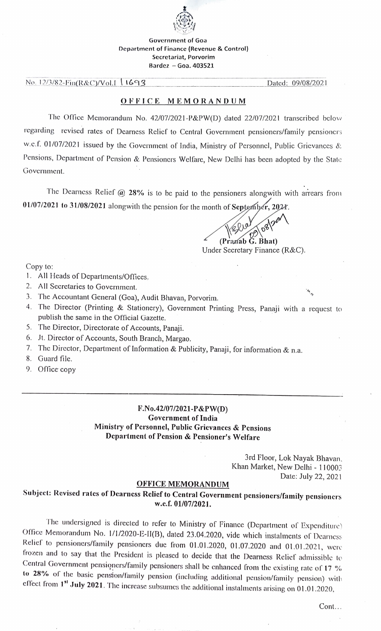

#### Government of Goa Department of Finance (Revenue & Control) Secretariat, Porvorim Bardez  $-$  Goa. 403521

No. 12/3/82-Fin(R&C)/Vol.I | 1693 | Dated: 09/08/2021

## OFFICE MEMORANDUM

The Office Mcmorandum No. 42/07/2021-P&PW(D) dated 22/07/2021 transcribed below regarding revised rates of Dearness Relicf to Central Government pensioners/family pensioncrs w.c.f. 01/07/2021 issued by the Government of India, Ministry of Personnel, Public Grievances & Pensions, Department of Pension & Pensioners Welfare, New Delhi has been adopted by the State Government.

The Dearness Relief  $@$  28% is to be paid to the pensioners alongwith with arrears from  $01/07/2021$  to 31/08/2021 alongwith the pension for the month of September, 2021.

> (Pranab G. Bhat) Under Secretary Finance (R&C).

Copy to:

- . All Hcads of Departments/Offices.
- 2. All Secretaries to Government. .
- 3. The Accountant General (Goa), Audit Bhavan, Porvorim.
- 4. The Director (Printing & Stationery), Governmcnt Printing Press, Panaji with a requcst to publish the same in the Official Gazette.
- 5. The Director, Directorate of Accounts, Panaji.
- 6. Jt. Director of Accounts, South Branch, Margao.
- 7. The Director, Dcpartment of Information & Publicity, Panaji, for information & n.a.
- 8. Guard file.
- 9. Office copy

## F.No.42/07/2021-P&PW(D) Government of India Ministry of Personnel, Public Grievanccs & Pensions Department of Pension & Pensioner's Welfare

3rd Floor, Lok Nayak Bhavan, Khan Market, New Delhi - 110003 Date: July 22, 2021

#### OFFICE MEMORANDUM

# Subject: Revised rates of Dearness Relief to Central Government pensioners/family pensioners w.c.f. 01/07/2021.

The undcrsigned is directed lo rcfer to Ministry of Finance (Department of Expenditure) Office Memorandum No. 1/1/2020-1E-1I(B), dated 23.04.2020, vide which instalments of Dearness Relief to pensioners/family pensioners due from 01.01.2020, 01.07.2020 and 01.01.2021, were<br>frozen and to say that the President is pleased to decide that the Dearness Relief admissible to Central Government pensioners/family pensioners shall be enhanced from the existing rate of 17 %<br>to 28% of the basic pension/family pension (including additional pension/family pension) with effect from  $1<sup>st</sup>$  July 2021. The increase subsumes the additional instalments arising on 01.01.2020,